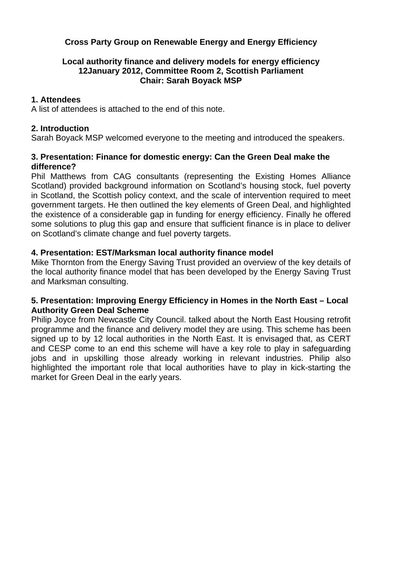# **Cross Party Group on Renewable Energy and Energy Efficiency**

#### **Local authority finance and delivery models for energy efficiency 12January 2012, Committee Room 2, Scottish Parliament Chair: Sarah Boyack MSP**

#### **1. Attendees**

A list of attendees is attached to the end of this note.

## **2. Introduction**

Sarah Boyack MSP welcomed everyone to the meeting and introduced the speakers.

## **3. Presentation: Finance for domestic energy: Can the Green Deal make the difference?**

Phil Matthews from CAG consultants (representing the Existing Homes Alliance Scotland) provided background information on Scotland's housing stock, fuel poverty in Scotland, the Scottish policy context, and the scale of intervention required to meet government targets. He then outlined the key elements of Green Deal, and highlighted the existence of a considerable gap in funding for energy efficiency. Finally he offered some solutions to plug this gap and ensure that sufficient finance is in place to deliver on Scotland's climate change and fuel poverty targets.

## **4. Presentation: EST/Marksman local authority finance model**

Mike Thornton from the Energy Saving Trust provided an overview of the key details of the local authority finance model that has been developed by the Energy Saving Trust and Marksman consulting.

#### **5. Presentation: Improving Energy Efficiency in Homes in the North East – Local Authority Green Deal Scheme**

Philip Joyce from Newcastle City Council. talked about the North East Housing retrofit programme and the finance and delivery model they are using. This scheme has been signed up to by 12 local authorities in the North East. It is envisaged that, as CERT and CESP come to an end this scheme will have a key role to play in safeguarding jobs and in upskilling those already working in relevant industries. Philip also highlighted the important role that local authorities have to play in kick-starting the market for Green Deal in the early years.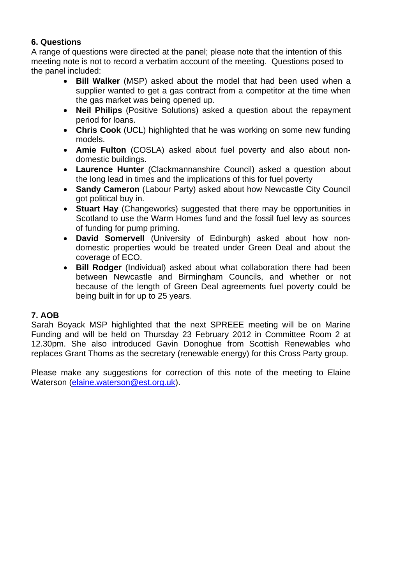# **6. Questions**

A range of questions were directed at the panel; please note that the intention of this meeting note is not to record a verbatim account of the meeting. Questions posed to the panel included:

- **Bill Walker** (MSP) asked about the model that had been used when a supplier wanted to get a gas contract from a competitor at the time when the gas market was being opened up.
- **Neil Philips** (Positive Solutions) asked a question about the repayment period for loans.
- **Chris Cook** (UCL) highlighted that he was working on some new funding models.
- **Amie Fulton** (COSLA) asked about fuel poverty and also about nondomestic buildings.
- **Laurence Hunter** (Clackmannanshire Council) asked a question about the long lead in times and the implications of this for fuel poverty
- **Sandy Cameron** (Labour Party) asked about how Newcastle City Council got political buy in.
- **Stuart Hay** (Changeworks) suggested that there may be opportunities in Scotland to use the Warm Homes fund and the fossil fuel levy as sources of funding for pump priming.
- **David Somervell** (University of Edinburgh) asked about how nondomestic properties would be treated under Green Deal and about the coverage of ECO.
- **Bill Rodger** (Individual) asked about what collaboration there had been between Newcastle and Birmingham Councils, and whether or not because of the length of Green Deal agreements fuel poverty could be being built in for up to 25 years.

# **7. AOB**

Sarah Boyack MSP highlighted that the next SPREEE meeting will be on Marine Funding and will be held on Thursday 23 February 2012 in Committee Room 2 at 12.30pm. She also introduced Gavin Donoghue from Scottish Renewables who replaces Grant Thoms as the secretary (renewable energy) for this Cross Party group.

Please make any suggestions for correction of this note of the meeting to Elaine Waterson (elaine.waterson@est.org.uk).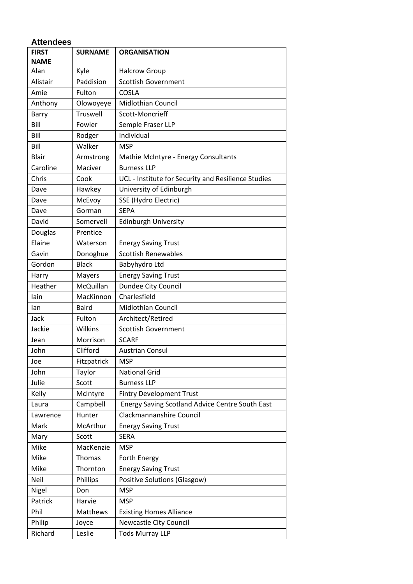| <b>Attendees</b>            |                |                                                        |  |  |
|-----------------------------|----------------|--------------------------------------------------------|--|--|
| <b>FIRST</b><br><b>NAME</b> | <b>SURNAME</b> | <b>ORGANISATION</b>                                    |  |  |
| Alan                        | Kyle           | <b>Halcrow Group</b>                                   |  |  |
| Alistair                    | Paddision      | <b>Scottish Government</b>                             |  |  |
| Amie                        | Fulton         | <b>COSLA</b>                                           |  |  |
| Anthony                     | Olowoyeye      | <b>Midlothian Council</b>                              |  |  |
| Barry                       | Truswell       | Scott-Moncrieff                                        |  |  |
| Bill                        | Fowler         | Semple Fraser LLP                                      |  |  |
| Bill                        | Rodger         | Individual                                             |  |  |
| Bill                        | Walker         | <b>MSP</b>                                             |  |  |
| Blair                       | Armstrong      | Mathie McIntyre - Energy Consultants                   |  |  |
| Caroline                    | Maciver        | <b>Burness LLP</b>                                     |  |  |
| Chris                       | Cook           | UCL - Institute for Security and Resilience Studies    |  |  |
| Dave                        | Hawkey         | University of Edinburgh                                |  |  |
| Dave                        | McEvoy         | SSE (Hydro Electric)                                   |  |  |
| Dave                        | Gorman         | <b>SEPA</b>                                            |  |  |
| David                       | Somervell      | <b>Edinburgh University</b>                            |  |  |
| Douglas                     | Prentice       |                                                        |  |  |
| Elaine                      | Waterson       | <b>Energy Saving Trust</b>                             |  |  |
| Gavin                       | Donoghue       | <b>Scottish Renewables</b>                             |  |  |
| Gordon                      | <b>Black</b>   | Babyhydro Ltd                                          |  |  |
| Harry                       | Mayers         | <b>Energy Saving Trust</b>                             |  |  |
| Heather                     | McQuillan      | Dundee City Council                                    |  |  |
| lain                        | MacKinnon      | Charlesfield                                           |  |  |
| lan                         | <b>Baird</b>   | <b>Midlothian Council</b>                              |  |  |
| Jack                        | Fulton         | Architect/Retired                                      |  |  |
| Jackie                      | Wilkins        | <b>Scottish Government</b>                             |  |  |
| Jean                        | Morrison       | <b>SCARF</b>                                           |  |  |
| John                        | Clifford       | <b>Austrian Consul</b>                                 |  |  |
| Joe                         | Fitzpatrick    | <b>MSP</b>                                             |  |  |
| John                        | Taylor         | <b>National Grid</b>                                   |  |  |
| Julie                       | Scott          | <b>Burness LLP</b>                                     |  |  |
| Kelly                       | McIntyre       | <b>Fintry Development Trust</b>                        |  |  |
| Laura                       | Campbell       | <b>Energy Saving Scotland Advice Centre South East</b> |  |  |
| Lawrence                    | Hunter         | Clackmannanshire Council                               |  |  |
| Mark                        | McArthur       | <b>Energy Saving Trust</b>                             |  |  |
| Mary                        | Scott          | <b>SERA</b>                                            |  |  |
| Mike                        | MacKenzie      | <b>MSP</b>                                             |  |  |
| Mike                        | Thomas         | Forth Energy                                           |  |  |
| Mike                        | Thornton       | <b>Energy Saving Trust</b>                             |  |  |
| Neil                        | Phillips       | <b>Positive Solutions (Glasgow)</b>                    |  |  |
| Nigel                       | Don            | <b>MSP</b>                                             |  |  |
| Patrick                     | Harvie         | <b>MSP</b>                                             |  |  |
| Phil                        | Matthews       | <b>Existing Homes Alliance</b>                         |  |  |
| Philip                      | Joyce          | Newcastle City Council                                 |  |  |
| Richard                     | Leslie         | <b>Tods Murray LLP</b>                                 |  |  |